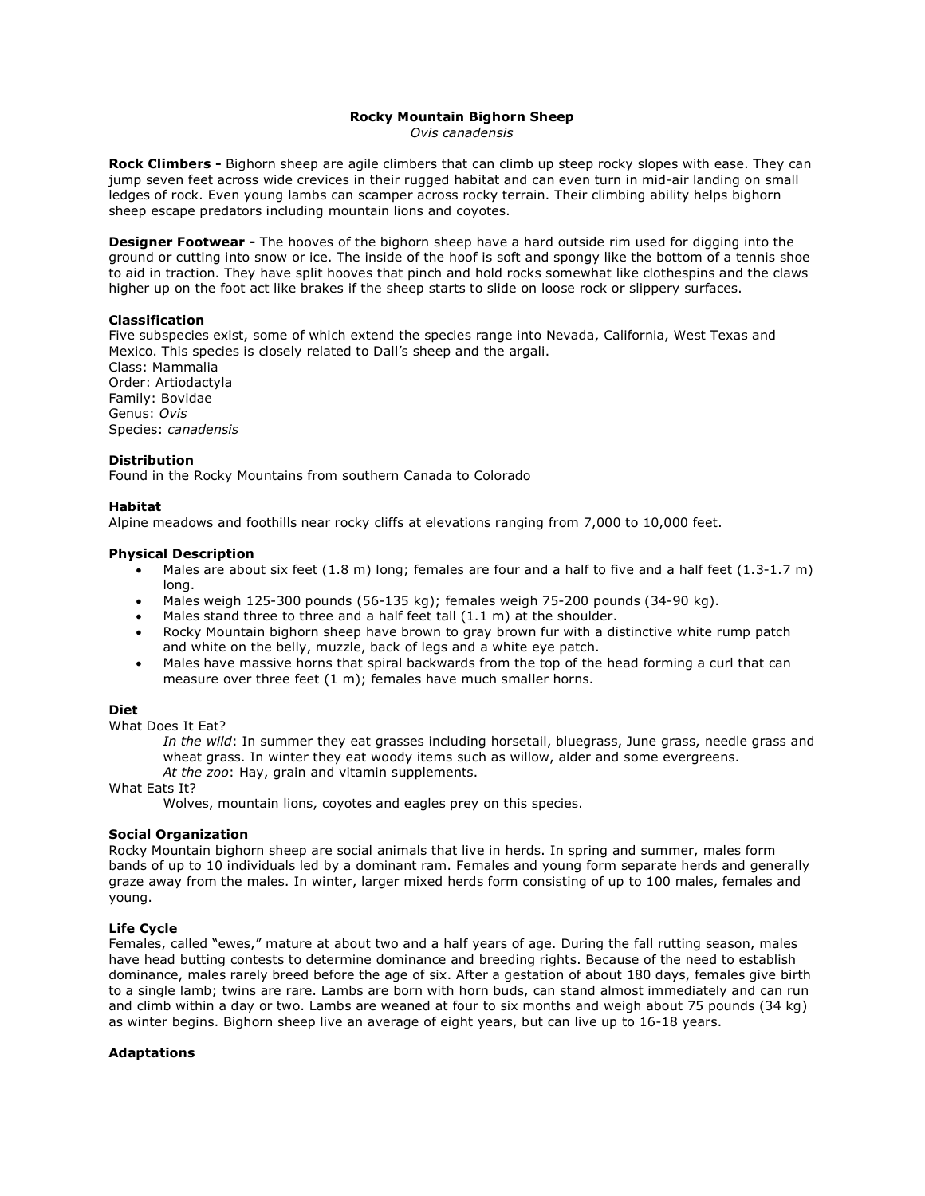#### **Rocky Mountain Bighorn Sheep** *Ovis canadensis*

**Rock Climbers -** Bighorn sheep are agile climbers that can climb up steep rocky slopes with ease. They can jump seven feet across wide crevices in their rugged habitat and can even turn in mid-air landing on small ledges of rock. Even young lambs can scamper across rocky terrain. Their climbing ability helps bighorn sheep escape predators including mountain lions and coyotes.

**Designer Footwear -** The hooves of the bighorn sheep have a hard outside rim used for digging into the ground or cutting into snow or ice. The inside of the hoof is soft and spongy like the bottom of a tennis shoe to aid in traction. They have split hooves that pinch and hold rocks somewhat like clothespins and the claws higher up on the foot act like brakes if the sheep starts to slide on loose rock or slippery surfaces.

## **Classification**

Five subspecies exist, some of which extend the species range into Nevada, California, West Texas and Mexico. This species is closely related to Dall's sheep and the argali. Class: Mammalia Order: Artiodactyla Family: Bovidae Genus: *Ovis* Species: *canadensis*

#### **Distribution**

Found in the Rocky Mountains from southern Canada to Colorado

## **Habitat**

Alpine meadows and foothills near rocky cliffs at elevations ranging from 7,000 to 10,000 feet.

#### **Physical Description**

- Males are about six feet  $(1.8 \text{ m})$  long; females are four and a half to five and a half feet  $(1.3\t{-}1.7 \text{ m})$ long.
- Males weigh 125-300 pounds (56-135 kg); females weigh 75-200 pounds (34-90 kg).
- Males stand three to three and a half feet tall (1.1 m) at the shoulder.
- Rocky Mountain bighorn sheep have brown to gray brown fur with a distinctive white rump patch and white on the belly, muzzle, back of legs and a white eye patch.
- Males have massive horns that spiral backwards from the top of the head forming a curl that can measure over three feet (1 m); females have much smaller horns.

# **Diet**

What Does It Eat?

*In the wild*: In summer they eat grasses including horsetail, bluegrass, June grass, needle grass and wheat grass. In winter they eat woody items such as willow, alder and some evergreens. *At the zoo*: Hay, grain and vitamin supplements.

What Eats It?

Wolves, mountain lions, coyotes and eagles prey on this species.

#### **Social Organization**

Rocky Mountain bighorn sheep are social animals that live in herds. In spring and summer, males form bands of up to 10 individuals led by a dominant ram. Females and young form separate herds and generally graze away from the males. In winter, larger mixed herds form consisting of up to 100 males, females and young.

## **Life Cycle**

Females, called "ewes," mature at about two and a half years of age. During the fall rutting season, males have head butting contests to determine dominance and breeding rights. Because of the need to establish dominance, males rarely breed before the age of six. After a gestation of about 180 days, females give birth to a single lamb; twins are rare. Lambs are born with horn buds, can stand almost immediately and can run and climb within a day or two. Lambs are weaned at four to six months and weigh about 75 pounds (34 kg) as winter begins. Bighorn sheep live an average of eight years, but can live up to 16-18 years.

### **Adaptations**